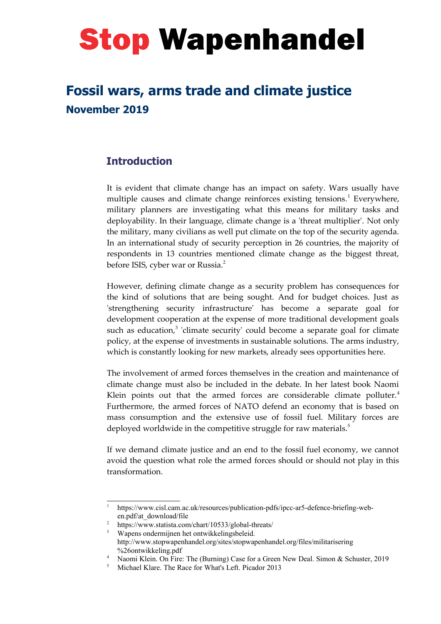# **Stop Wapenhandel**

## **Fossil wars, arms trade and climate justice November 2019**

### **Introduction**

It is evident that climate change has an impact on safety. Wars usually have multiple causes and climate change reinforces existing tensions.<sup>[1](#page-0-0)</sup> Everywhere, military planners are investigating what this means for military tasks and deployability. In their language, climate change is a 'threat multiplier'. Not only the military, many civilians as well put climate on the top of the security agenda. In an international study of security perception in 26 countries, the majority of respondents in 13 countries mentioned climate change as the biggest threat, before ISIS, cyber war or Russia.<sup>[2](#page-0-1)</sup>

However, defining climate change as a security problem has consequences for the kind of solutions that are being sought. And for budget choices. Just as 'strengthening security infrastructure' has become a separate goal for development cooperation at the expense of more traditional development goals such as education,<sup>[3](#page-0-2)</sup> 'climate security' could become a separate goal for climate policy, at the expense of investments in sustainable solutions. The arms industry, which is constantly looking for new markets, already sees opportunities here.

The involvement of armed forces themselves in the creation and maintenance of climate change must also be included in the debate. In her latest book Naomi Klein points out that the armed forces are considerable climate polluter. $4$ Furthermore, the armed forces of NATO defend an economy that is based on mass consumption and the extensive use of fossil fuel. Military forces are deployed worldwide in the competitive struggle for raw materials.<sup>[5](#page-0-4)</sup>

If we demand climate justice and an end to the fossil fuel economy, we cannot avoid the question what role the armed forces should or should not play in this transformation.

<span id="page-0-0"></span><sup>1</sup> https://www.cisl.cam.ac.uk/resources/publication-pdfs/ipcc-ar5-defence-briefing-weben.pdf/at\_download/file

<span id="page-0-1"></span><sup>2</sup> https://www.statista.com/chart/10533/global-threats/

<span id="page-0-2"></span><sup>&</sup>lt;sup>3</sup> Wapens ondermijnen het ontwikkelingsbeleid. http://www.stopwapenhandel.org/sites/stopwapenhandel.org/files/militarisering %26ontwikkeling.pdf

<span id="page-0-3"></span><sup>4</sup> Naomi Klein. On Fire: The (Burning) Case for a Green New Deal. Simon & Schuster, 2019

<span id="page-0-4"></span><sup>5</sup> Michael Klare. The Race for What's Left. Picador 2013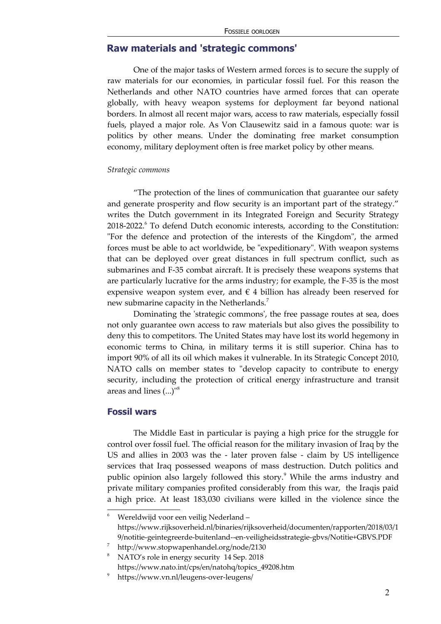#### **Raw materials and 'strategic commons'**

One of the major tasks of Western armed forces is to secure the supply of raw materials for our economies, in particular fossil fuel. For this reason the Netherlands and other NATO countries have armed forces that can operate globally, with heavy weapon systems for deployment far beyond national borders. In almost all recent major wars, access to raw materials, especially fossil fuels, played a major role. As Von Clausewitz said in a famous quote: war is politics by other means. Under the dominating free market consumption economy, military deployment often is free market policy by other means.

#### *Strategic commons*

"The protection of the lines of communication that guarantee our safety and generate prosperity and flow security is an important part of the strategy." writes the Dutch government in its Integrated Foreign and Security Strategy 2018-2022.<sup>[6](#page-1-0)</sup> To defend Dutch economic interests, according to the Constitution: "For the defence and protection of the interests of the Kingdom", the armed forces must be able to act worldwide, be "expeditionary". With weapon systems that can be deployed over great distances in full spectrum conflict, such as submarines and F-35 combat aircraft. It is precisely these weapons systems that are particularly lucrative for the arms industry; for example, the F-35 is the most expensive weapon system ever, and  $\epsilon$  4 billion has already been reserved for new submarine capacity in the Netherlands.<sup>[7](#page-1-1)</sup>

Dominating the 'strategic commons', the free passage routes at sea, does not only guarantee own access to raw materials but also gives the possibility to deny this to competitors. The United States may have lost its world hegemony in economic terms to China, in military terms it is still superior. China has to import 90% of all its oil which makes it vulnerable. In its Strategic Concept 2010, NATO calls on member states to "develop capacity to contribute to energy security, including the protection of critical energy infrastructure and transit areas and lines (...)"[8](#page-1-2)

#### **Fossil wars**

The Middle East in particular is paying a high price for the struggle for control over fossil fuel. The official reason for the military invasion of Iraq by the US and allies in 2003 was the - later proven false - claim by US intelligence services that Iraq possessed weapons of mass destruction. Dutch politics and public opinion also largely followed this story.<sup>[9](#page-1-3)</sup> While the arms industry and private military companies profited considerably from this war, the Iraqis paid a high price. At least 183,030 civilians were killed in the violence since the

<span id="page-1-0"></span>Wereldwijd voor een veilig Nederland https://www.rijksoverheid.nl/binaries/rijksoverheid/documenten/rapporten/2018/03/1 9/notitie-geintegreerde-buitenland--en-veiligheidsstrategie-gbvs/Notitie+GBVS.PDF

<span id="page-1-1"></span><sup>7</sup> http://www.stopwapenhandel.org/node/2130

<span id="page-1-2"></span><sup>8</sup> NATO's role in energy security 14 Sep. 2018 https://www.nato.int/cps/en/natohq/topics\_49208.htm

<span id="page-1-3"></span><sup>9</sup> https://www.vn.nl/leugens-over-leugens/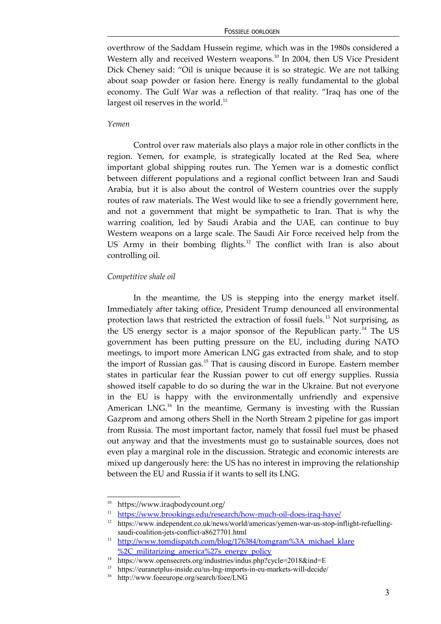#### FOSSIELE OORLOGEN

overthrow of the Saddam Hussein regime, which was in the 1980s considered a Western ally and received Western weapons.<sup>[10](#page-2-0)</sup> In 2004, then US Vice President Dick Cheney said: "Oil is unique because it is so strategic. We are not talking about soap powder or fasion here. Energy is really fundamental to the global economy. The Gulf War was a reflection of that reality. "Iraq has one of the largest oil reserves in the world. $^{11}$  $^{11}$  $^{11}$ 

#### *Yemen*

Control over raw materials also plays a major role in other conflicts in the region. Yemen, for example, is strategically located at the Red Sea, where important global shipping routes run. The Yemen war is a domestic conflict between different populations and a regional conflict between Iran and Saudi Arabia, but it is also about the control of Western countries over the supply routes of raw materials. The West would like to see a friendly government here, and not a government that might be sympathetic to Iran. That is why the warring coalition, led by Saudi Arabia and the UAE, can continue to buy Western weapons on a large scale. The Saudi Air Force received help from the US Army in their bombing flights.<sup>[12](#page-2-2)</sup> The conflict with Iran is also about controlling oil.

#### *Competitive shale oil*

In the meantime, the US is stepping into the energy market itself. Immediately after taking office, President Trump denounced all environmental protection laws that restricted the extraction of fossil fuels.<sup>[13](#page-2-3)</sup> Not surprising, as the US energy sector is a major sponsor of the Republican party.<sup>[14](#page-2-4)</sup> The US government has been putting pressure on the EU, including during NATO meetings, to import more American LNG gas extracted from shale, and to stop the import of Russian gas.<sup>[15](#page-2-5)</sup> That is causing discord in Europe. Eastern member states in particular fear the Russian power to cut off energy supplies. Russia showed itself capable to do so during the war in the Ukraine. But not everyone in the EU is happy with the environmentally unfriendly and expensive American  $LNG$ <sup>[16](#page-2-6)</sup> In the meantime, Germany is investing with the Russian Gazprom and among others Shell in the North Stream 2 pipeline for gas import from Russia. The most important factor, namely that fossil fuel must be phased out anyway and that the investments must go to sustainable sources, does not even play a marginal role in the discussion. Strategic and economic interests are mixed up dangerously here: the US has no interest in improving the relationship between the EU and Russia if it wants to sell its LNG.

<span id="page-2-0"></span><sup>10</sup> https://www.iraqbodycount.org/

<span id="page-2-1"></span><sup>&</sup>lt;sup>11</sup> <https://www.brookings.edu/research/how-much-oil-does-iraq-have/><br><sup>12</sup> https://www.independent.co.uk/news/world/omericas/yemen.wer.us.stop.in

<span id="page-2-2"></span><sup>12</sup> https://www.independent.co.uk/news/world/americas/yemen-war-us-stop-inflight-refuellingsaudi-coalition-jets-conflict-a8627701.html

<span id="page-2-3"></span><sup>&</sup>lt;sup>13</sup> http://www.tomdispatch.com/blog/176384/tomgram%3A michael klare [%2C\\_militarizing\\_america%27s\\_energy\\_policy](http://www.tomdispatch.com/blog/176384/tomgram%3A_michael_klare%2C_militarizing_america)

<span id="page-2-4"></span><sup>&</sup>lt;sup>14</sup> https://www.opensecrets.org/industries/indus.php?cycle=2018&ind=E

<span id="page-2-5"></span><sup>15</sup> https://euranetplus-inside.eu/us-lng-imports-in-eu-markets-will-decide/

<span id="page-2-6"></span><sup>16</sup> http://www.foeeurope.org/search/foee/LNG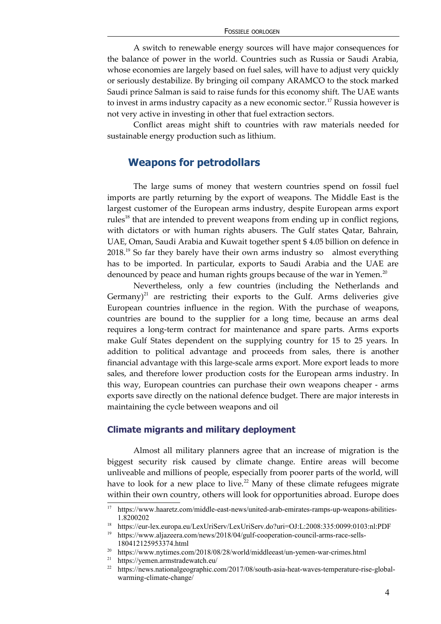A switch to renewable energy sources will have major consequences for the balance of power in the world. Countries such as Russia or Saudi Arabia, whose economies are largely based on fuel sales, will have to adjust very quickly or seriously destabilize. By bringing oil company ARAMCO to the stock marked Saudi prince Salman is said to raise funds for this economy shift. The UAE wants to invest in arms industry capacity as a new economic sector.<sup>[17](#page-3-0)</sup> Russia however is not very active in investing in other that fuel extraction sectors.

Conflict areas might shift to countries with raw materials needed for sustainable energy production such as lithium.

#### **Weapons for petrodollars**

The large sums of money that western countries spend on fossil fuel imports are partly returning by the export of weapons. The Middle East is the largest customer of the European arms industry, despite European arms export rules<sup>[18](#page-3-1)</sup> that are intended to prevent weapons from ending up in conflict regions, with dictators or with human rights abusers. The Gulf states Qatar, Bahrain, UAE, Oman, Saudi Arabia and Kuwait together spent \$ 4.05 billion on defence in  $2018<sup>19</sup>$  $2018<sup>19</sup>$  $2018<sup>19</sup>$  So far they barely have their own arms industry so almost everything has to be imported. In particular, exports to Saudi Arabia and the UAE are denounced by peace and human rights groups because of the war in Yemen.<sup>[20](#page-3-3)</sup>

Nevertheless, only a few countries (including the Netherlands and Germany)<sup>[21](#page-3-4)</sup> are restricting their exports to the Gulf. Arms deliveries give European countries influence in the region. With the purchase of weapons, countries are bound to the supplier for a long time, because an arms deal requires a long-term contract for maintenance and spare parts. Arms exports make Gulf States dependent on the supplying country for 15 to 25 years. In addition to political advantage and proceeds from sales, there is another financial advantage with this large-scale arms export. More export leads to more sales, and therefore lower production costs for the European arms industry. In this way, European countries can purchase their own weapons cheaper - arms exports save directly on the national defence budget. There are major interests in maintaining the cycle between weapons and oil

#### **Climate migrants and military deployment**

Almost all military planners agree that an increase of migration is the biggest security risk caused by climate change. Entire areas will become unliveable and millions of people, especially from poorer parts of the world, will have to look for a new place to live.<sup>[22](#page-3-5)</sup> Many of these climate refugees migrate within their own country, others will look for opportunities abroad. Europe does

<span id="page-3-0"></span><sup>17</sup> https://www.haaretz.com/middle-east-news/united-arab-emirates-ramps-up-weapons-abilities-1.8200202

<span id="page-3-1"></span><sup>18</sup> https://eur-lex.europa.eu/LexUriServ/LexUriServ.do?uri=OJ:L:2008:335:0099:0103:nl:PDF

<span id="page-3-2"></span><sup>19</sup> https://www.aljazeera.com/news/2018/04/gulf-cooperation-council-arms-race-sells-180412125953374.html

<span id="page-3-3"></span> $^{20}$ https://www.nytimes.com/2018/08/28/world/middleeast/un-yemen-war-crimes.html

<span id="page-3-4"></span><sup>21</sup> https://yemen.armstradewatch.eu/

<span id="page-3-5"></span><sup>&</sup>lt;sup>22</sup> https://news.nationalgeographic.com/2017/08/south-asia-heat-waves-temperature-rise-globalwarming-climate-change/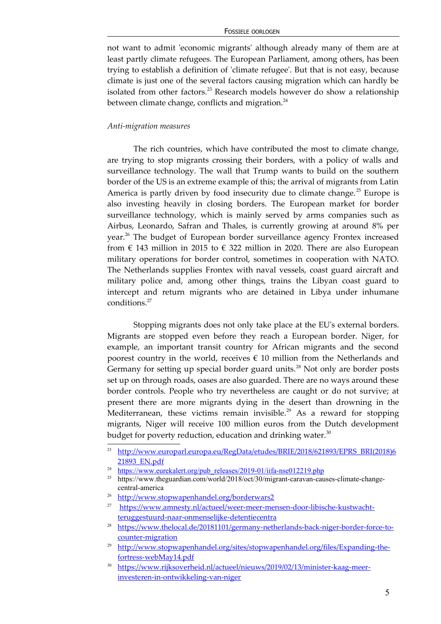#### FOSSIELE OORLOGEN

not want to admit 'economic migrants' although already many of them are at least partly climate refugees. The European Parliament, among others, has been trying to establish a definition of 'climate refugee'. But that is not easy, because climate is just one of the several factors causing migration which can hardly be isolated from other factors.<sup>[23](#page-4-0)</sup> Research models however do show a relationship between climate change, conflicts and migration. $^{24}$  $^{24}$  $^{24}$ 

#### *Anti-migration measures*

The rich countries, which have contributed the most to climate change, are trying to stop migrants crossing their borders, with a policy of walls and surveillance technology. The wall that Trump wants to build on the southern border of the US is an extreme example of this; the arrival of migrants from Latin America is partly driven by food insecurity due to climate change.<sup>[25](#page-4-2)</sup> Europe is also investing heavily in closing borders. The European market for border surveillance technology, which is mainly served by arms companies such as Airbus, Leonardo, Safran and Thales, is currently growing at around 8% per year.<sup>[26](#page-4-3)</sup> The budget of European border surveillance agency Frontex increased from  $\epsilon$  143 million in 2015 to  $\epsilon$  322 million in 2020. There are also European military operations for border control, sometimes in cooperation with NATO. The Netherlands supplies Frontex with naval vessels, coast guard aircraft and military police and, among other things, trains the Libyan coast guard to intercept and return migrants who are detained in Libya under inhumane conditions.<sup>[27](#page-4-4)</sup>

Stopping migrants does not only take place at the EU's external borders. Migrants are stopped even before they reach a European border. Niger, for example, an important transit country for African migrants and the second poorest country in the world, receives  $\epsilon$  10 million from the Netherlands and Germany for setting up special border guard units.<sup>[28](#page-4-5)</sup> Not only are border posts set up on through roads, oases are also guarded. There are no ways around these border controls. People who try nevertheless are caught or do not survive; at present there are more migrants dying in the desert than drowning in the Mediterranean, these victims remain invisible.<sup>[29](#page-4-6)</sup> As a reward for stopping migrants, Niger will receive 100 million euros from the Dutch development budget for poverty reduction, education and drinking water. $30$ 

<span id="page-4-0"></span><sup>23</sup>  [http://www.europarl.europa.eu/RegData/etudes/BRIE/2018/621893/EPRS\\_BRI\(2018\)6](http://www.europarl.europa.eu/RegData/etudes/BRIE/2018/621893/EPRS_BRI(2018)621893_EN.pdf) 21893 EN.pdf

<span id="page-4-1"></span><sup>&</sup>lt;sup>24</sup> [https://www.eurekalert.org/pub\\_releases/2019-01/iifa-nse012219.php](https://www.eurekalert.org/pub_releases/2019-01/iifa-nse012219.php)

<span id="page-4-2"></span><sup>&</sup>lt;sup>25</sup> https://www.theguardian.com/world/2018/oct/30/migrant-caravan-causes-climate-changecentral-america

<span id="page-4-3"></span><sup>&</sup>lt;sup>26</sup> <http://www.stopwapenhandel.org/borderwars2>

<span id="page-4-4"></span><sup>27</sup> [https://www.amnesty.nl/actueel/weer-meer-mensen-door-libische-kustwacht](https://www.amnesty.nl/actueel/weer-meer-mensen-door-libische-kustwacht-teruggestuurd-naar-onmenselijke-detentiecentra)  [teruggestuurd-naar-onmenselijke-detentiecentra](https://www.amnesty.nl/actueel/weer-meer-mensen-door-libische-kustwacht-teruggestuurd-naar-onmenselijke-detentiecentra)

<span id="page-4-5"></span><sup>&</sup>lt;sup>28</sup> [https://www.thelocal.de/20181101/germany-netherlands-back-niger-border-force-to](https://www.thelocal.de/20181101/germany-netherlands-back-niger-border-force-to-counter-migration)[counter-migration](https://www.thelocal.de/20181101/germany-netherlands-back-niger-border-force-to-counter-migration)

<span id="page-4-6"></span><sup>&</sup>lt;sup>29</sup> [http://www.stopwapenhandel.org/sites/stopwapenhandel.org/files/Expanding-the](http://www.stopwapenhandel.org/sites/stopwapenhandel.org/files/Expanding-the-fortress-webMay14.pdf)[fortress-webMay14.pdf](http://www.stopwapenhandel.org/sites/stopwapenhandel.org/files/Expanding-the-fortress-webMay14.pdf)

<span id="page-4-7"></span><sup>30</sup> [https://www.rijksoverheid.nl/actueel/nieuws/2019/02/13/minister-kaag-meer](https://www.rijksoverheid.nl/actueel/nieuws/2019/02/13/minister-kaag-meer-investeren-in-ontwikkeling-van-niger)  [investeren-in-ontwikkeling-van-niger](https://www.rijksoverheid.nl/actueel/nieuws/2019/02/13/minister-kaag-meer-investeren-in-ontwikkeling-van-niger)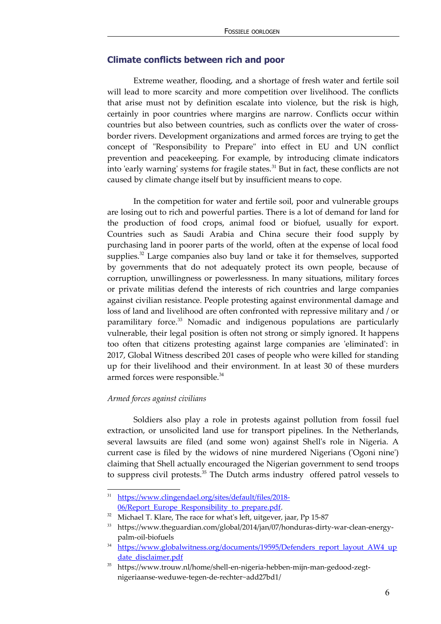#### **Climate conflicts between rich and poor**

Extreme weather, flooding, and a shortage of fresh water and fertile soil will lead to more scarcity and more competition over livelihood. The conflicts that arise must not by definition escalate into violence, but the risk is high, certainly in poor countries where margins are narrow. Conflicts occur within countries but also between countries, such as conflicts over the water of crossborder rivers. Development organizations and armed forces are trying to get the concept of "Responsibility to Prepare" into effect in EU and UN conflict prevention and peacekeeping. For example, by introducing climate indicators into 'early warning' systems for fragile states.<sup>[31](#page-5-0)</sup> But in fact, these conflicts are not caused by climate change itself but by insufficient means to cope.

In the competition for water and fertile soil, poor and vulnerable groups are losing out to rich and powerful parties. There is a lot of demand for land for the production of food crops, animal food or biofuel, usually for export. Countries such as Saudi Arabia and China secure their food supply by purchasing land in poorer parts of the world, often at the expense of local food supplies.<sup>[32](#page-5-1)</sup> Large companies also buy land or take it for themselves, supported by governments that do not adequately protect its own people, because of corruption, unwillingness or powerlessness. In many situations, military forces or private militias defend the interests of rich countries and large companies against civilian resistance. People protesting against environmental damage and loss of land and livelihood are often confronted with repressive military and / or paramilitary force.<sup>[33](#page-5-2)</sup> Nomadic and indigenous populations are particularly vulnerable, their legal position is often not strong or simply ignored. It happens too often that citizens protesting against large companies are 'eliminated': in 2017, Global Witness described 201 cases of people who were killed for standing up for their livelihood and their environment. In at least 30 of these murders armed forces were responsible.<sup>[34](#page-5-3)</sup>

#### *Armed forces against civilians*

Soldiers also play a role in protests against pollution from fossil fuel extraction, or unsolicited land use for transport pipelines. In the Netherlands, several lawsuits are filed (and some won) against Shell's role in Nigeria. A current case is filed by the widows of nine murdered Nigerians ('Ogoni nine') claiming that Shell actually encouraged the Nigerian government to send troops to suppress civil protests.<sup>[35](#page-5-4)</sup> The Dutch arms industry offered patrol vessels to

<span id="page-5-0"></span><sup>31</sup> [https://www.clingendael.org/sites/default/files/2018-](https://www.clingendael.org/sites/default/files/2018-06/Report_Europe_Responsibility_to_prepare.pdf) 06/Report Europe Responsibility to prepare.pdf.

<span id="page-5-1"></span><sup>&</sup>lt;sup>32</sup> Michael T. Klare, The race for what's left, uitgever, jaar, Pp 15-87

<span id="page-5-2"></span><sup>33</sup> https://www.theguardian.com/global/2014/jan/07/honduras-dirty-war-clean-energypalm-oil-biofuels

<span id="page-5-3"></span><sup>&</sup>lt;sup>34</sup> https://www.globalwitness.org/documents/19595/Defenders report layout AW4 up [date\\_disclaimer.pdf](https://www.globalwitness.org/documents/19595/Defenders_report_layout_AW4_update_disclaimer.pdf)

<span id="page-5-4"></span><sup>35</sup> https://www.trouw.nl/home/shell-en-nigeria-hebben-mijn-man-gedood-zegtnigeriaanse-weduwe-tegen-de-rechter~add27bd1/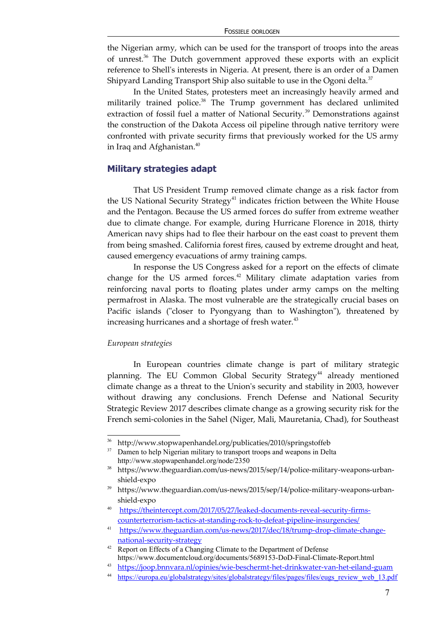the Nigerian army, which can be used for the transport of troops into the areas of unrest.[36](#page-6-0) The Dutch government approved these exports with an explicit reference to Shell's interests in Nigeria. At present, there is an order of a Damen Shipyard Landing Transport Ship also suitable to use in the Ogoni delta. $37$ 

In the United States, protesters meet an increasingly heavily armed and militarily trained police.<sup>[38](#page-6-2)</sup> The Trump government has declared unlimited extraction of fossil fuel a matter of National Security.<sup>[39](#page-6-3)</sup> Demonstrations against the construction of the Dakota Access oil pipeline through native territory were confronted with private security firms that previously worked for the US army in Iraq and Afghanistan.<sup>[40](#page-6-4)</sup>

#### **Military strategies adapt**

That US President Trump removed climate change as a risk factor from the US National Security Strategy<sup>[41](#page-6-5)</sup> indicates friction between the White House and the Pentagon. Because the US armed forces do suffer from extreme weather due to climate change. For example, during Hurricane Florence in 2018, thirty American navy ships had to flee their harbour on the east coast to prevent them from being smashed. California forest fires, caused by extreme drought and heat, caused emergency evacuations of army training camps.

In response the US Congress asked for a report on the effects of climate change for the US armed forces.<sup>[42](#page-6-6)</sup> Military climate adaptation varies from reinforcing naval ports to floating plates under army camps on the melting permafrost in Alaska. The most vulnerable are the strategically crucial bases on Pacific islands ("closer to Pyongyang than to Washington"), threatened by increasing hurricanes and a shortage of fresh water.<sup>[43](#page-6-7)</sup>

#### *European strategies*

In European countries climate change is part of military strategic planning. The EU Common Global Security Strategy<sup>[44](#page-6-8)</sup> already mentioned climate change as a threat to the Union's security and stability in 2003, however without drawing any conclusions. French Defense and National Security Strategic Review 2017 describes climate change as a growing security risk for the French semi-colonies in the Sahel (Niger, Mali, Mauretania, Chad), for Southeast

<span id="page-6-0"></span><sup>&</sup>lt;sup>36</sup> http://www.stopwapenhandel.org/publicaties/2010/springstoffeb

<span id="page-6-1"></span><sup>&</sup>lt;sup>37</sup> Damen to help Nigerian military to transport troops and weapons in Delta http://www.stopwapenhandel.org/node/2350

<span id="page-6-2"></span><sup>38</sup> https://www.theguardian.com/us-news/2015/sep/14/police-military-weapons-urbanshield-expo

<span id="page-6-3"></span><sup>&</sup>lt;sup>39</sup> https://www.theguardian.com/us-news/2015/sep/14/police-military-weapons-urbanshield-expo

<span id="page-6-4"></span><sup>40</sup> [https://theintercept.com/2017/05/27/leaked-documents-reveal-security-firms](https://theintercept.com/2017/05/27/leaked-documents-reveal-security-firms-counterterrorism-tactics-at-standing-rock-to-defeat-pipeline-insurgencies/)[counterterrorism-tactics-at-standing-rock-to-defeat-pipeline-insurgencies/](https://theintercept.com/2017/05/27/leaked-documents-reveal-security-firms-counterterrorism-tactics-at-standing-rock-to-defeat-pipeline-insurgencies/)

<span id="page-6-5"></span><sup>41</sup> [https://www.theguardian.com/us-news/2017/dec/18/trump-drop-climate-change](https://www.theguardian.com/us-news/2017/dec/18/trump-drop-climate-change-national-security-strategy)  [national-security-strategy](https://www.theguardian.com/us-news/2017/dec/18/trump-drop-climate-change-national-security-strategy)

<span id="page-6-6"></span><sup>&</sup>lt;sup>42</sup> Report on Effects of a Changing Climate to the Department of Defense https://www.documentcloud.org/documents/5689153-DoD-Final-Climate-Report.html

<span id="page-6-7"></span><sup>43</sup> <https://joop.bnnvara.nl/opinies/wie-beschermt-het-drinkwater-van-het-eiland-guam>

<span id="page-6-8"></span><sup>&</sup>lt;sup>44</sup> [https://europa.eu/globalstrategy/sites/globalstrategy/files/pages/files/eugs\\_review\\_web\\_13.pdf](https://europa.eu/globalstrategy/sites/globalstrategy/files/pages/files/eugs_review_web_13.pdf)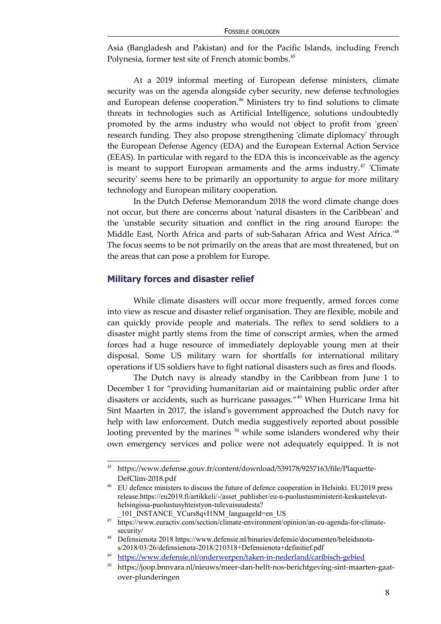Asia (Bangladesh and Pakistan) and for the Pacific Islands, including French Polynesia, former test site of French atomic bombs.<sup>[45](#page-7-0)</sup>

At a 2019 informal meeting of European defense ministers, climate security was on the agenda alongside cyber security, new defense technologies and European defense cooperation.<sup>[46](#page-7-1)</sup> Ministers try to find solutions to climate threats in technologies such as Artificial Intelligence, solutions undoubtedly promoted by the arms industry who would not object to profit from 'green' research funding. They also propose strengthening 'climate diplomacy' through the European Defense Agency (EDA) and the European External Action Service (EEAS). In particular with regard to the EDA this is inconceivable as the agency is meant to support European armaments and the arms industry.<sup>[47](#page-7-2)</sup> 'Climate security' seems here to be primarily an opportunity to argue for more military technology and European military cooperation.

In the Dutch Defense Memorandum 2018 the word climate change does not occur, but there are concerns about 'natural disasters in the Caribbean' and the 'unstable security situation and conflict in the ring around Europe: the Middle East, North Africa and parts of sub-Saharan Africa and West Africa.<sup>'[48](#page-7-3)</sup> The focus seems to be not primarily on the areas that are most threatened, but on the areas that can pose a problem for Europe.

#### **Military forces and disaster relief**

While climate disasters will occur more frequently, armed forces come into view as rescue and disaster relief organisation. They are flexible, mobile and can quickly provide people and materials. The reflex to send soldiers to a disaster might partly stems from the time of conscript armies, when the armed forces had a huge resource of immediately deployable young men at their disposal. Some US military warn for shortfalls for international military operations if US soldiers have to fight national disasters such as fires and floods.

The Dutch navy is already standby in the Caribbean from June 1 to December 1 for "providing humanitarian aid or maintaining public order after disasters or accidents, such as hurricane passages."[49](#page-7-4) When Hurricane Irma hit Sint Maarten in 2017, the island's government approached the Dutch navy for help with law enforcement. Dutch media suggestively reported about possible lootingprevented by the marines  $50$  while some islanders wondered why their own emergency services and police were not adequately equipped. It is not

<span id="page-7-0"></span><sup>45</sup> https://www.defense.gouv.fr/content/download/539178/9257163/file/Plaquette-DefClim-2018.pdf

<span id="page-7-1"></span><sup>46</sup> EU defence ministers to discuss the future of defence cooperation in Helsinki. EU2019 press release.https://eu2019.fi/artikkeli/-/asset\_publisher/eu-n-puolustusministerit-keskustelevathelsingissa-puolustusyhteistyon-tulevaisuudesta?

<span id="page-7-2"></span><sup>101</sup>\_INSTANCE\_YCurs8qvI1NM\_languageId=en\_US

<sup>47</sup> https://www.euractiv.com/section/climate-environment/opinion/an-eu-agenda-for-climatesecurity/

<span id="page-7-3"></span><sup>48</sup> Defensienota 2018 https://www.defensie.nl/binaries/defensie/documenten/beleidsnotas/2018/03/26/defensienota-2018/210318+Defensienota+definitief.pdf

<span id="page-7-4"></span><sup>49</sup> <https://www.defensie.nl/onderwerpen/taken-in-nederland/caribisch-gebied>

<span id="page-7-5"></span><sup>50</sup> https://joop.bnnvara.nl/nieuws/meer-dan-helft-nos-berichtgeving-sint-maarten-gaatover-plunderingen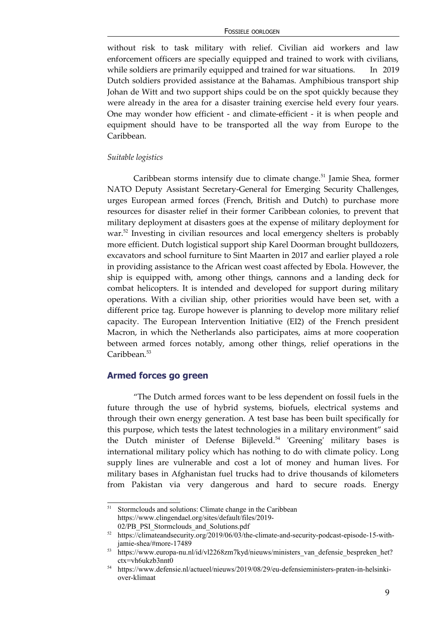without risk to task military with relief. Civilian aid workers and law enforcement officers are specially equipped and trained to work with civilians, while soldiers are primarily equipped and trained for war situations. In 2019 Dutch soldiers provided assistance at the Bahamas. Amphibious transport ship Johan de Witt and two support ships could be on the spot quickly because they were already in the area for a disaster training exercise held every four years. One may wonder how efficient - and climate-efficient - it is when people and equipment should have to be transported all the way from Europe to the Caribbean.

#### *Suitable logistics*

Caribbean storms intensify due to climate change.<sup>[51](#page-8-0)</sup> Jamie Shea, former NATO Deputy Assistant Secretary-General for Emerging Security Challenges, urges European armed forces (French, British and Dutch) to purchase more resources for disaster relief in their former Caribbean colonies, to prevent that military deployment at disasters goes at the expense of military deployment for war.<sup>[52](#page-8-1)</sup> Investing in civilian resources and local emergency shelters is probably more efficient. Dutch logistical support ship Karel Doorman brought bulldozers, excavators and school furniture to Sint Maarten in 2017 and earlier played a role in providing assistance to the African west coast affected by Ebola. However, the ship is equipped with, among other things, cannons and a landing deck for combat helicopters. It is intended and developed for support during military operations. With a civilian ship, other priorities would have been set, with a different price tag. Europe however is planning to develop more military relief capacity. The European Intervention Initiative (EI2) of the French president Macron, in which the Netherlands also participates, aims at more cooperation between armed forces notably, among other things, relief operations in the Caribbean.<sup>[53](#page-8-2)</sup>

#### **Armed forces go green**

"The Dutch armed forces want to be less dependent on fossil fuels in the future through the use of hybrid systems, biofuels, electrical systems and through their own energy generation. A test base has been built specifically for this purpose, which tests the latest technologies in a military environment" said the Dutch minister of Defense Bijleveld.<sup>[54](#page-8-3)</sup> 'Greening' military bases is international military policy which has nothing to do with climate policy. Long supply lines are vulnerable and cost a lot of money and human lives. For military bases in Afghanistan fuel trucks had to drive thousands of kilometers from Pakistan via very dangerous and hard to secure roads. Energy

<span id="page-8-0"></span><sup>&</sup>lt;sup>51</sup> Stormclouds and solutions: Climate change in the Caribbean https://www.clingendael.org/sites/default/files/2019- 02/PB\_PSI\_Stormclouds\_and\_Solutions.pdf

<span id="page-8-1"></span><sup>52</sup> https://climateandsecurity.org/2019/06/03/the-climate-and-security-podcast-episode-15-withjamie-shea/#more-17489

<span id="page-8-2"></span><sup>53</sup> https://www.europa-nu.nl/id/vl2268zm7kyd/nieuws/ministers\_van\_defensie\_bespreken\_het? ctx=vh6ukzb3nnt0

<span id="page-8-3"></span><sup>54</sup> https://www.defensie.nl/actueel/nieuws/2019/08/29/eu-defensieministers-praten-in-helsinkiover-klimaat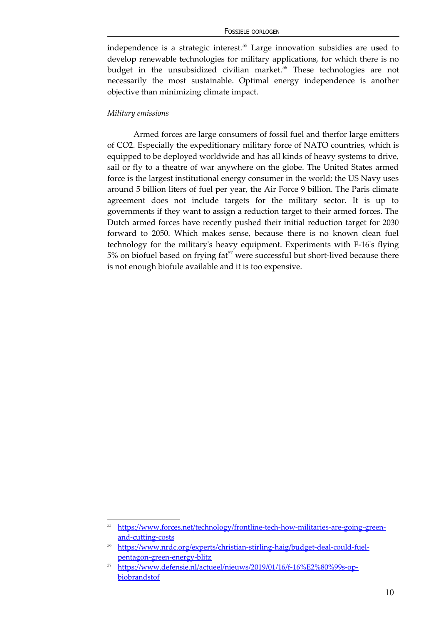independence is a strategic interest.<sup>[55](#page-9-0)</sup> Large innovation subsidies are used to develop renewable technologies for military applications, for which there is no budget in the unsubsidized civilian market.<sup>[56](#page-9-1)</sup> These technologies are not necessarily the most sustainable. Optimal energy independence is another objective than minimizing climate impact.

#### *Military emissions*

Armed forces are large consumers of fossil fuel and therfor large emitters of CO2. Especially the expeditionary military force of NATO countries, which is equipped to be deployed worldwide and has all kinds of heavy systems to drive, sail or fly to a theatre of war anywhere on the globe. The United States armed force is the largest institutional energy consumer in the world; the US Navy uses around 5 billion liters of fuel per year, the Air Force 9 billion. The Paris climate agreement does not include targets for the military sector. It is up to governments if they want to assign a reduction target to their armed forces. The Dutch armed forces have recently pushed their initial reduction target for 2030 forward to 2050. Which makes sense, because there is no known clean fuel technology for the military's heavy equipment. Experiments with F-16's flying  $5%$  on biofuel based on frying fat<sup> $57$ </sup> were successful but short-lived because there is not enough biofule available and it is too expensive.

<span id="page-9-0"></span><sup>55</sup> [https://www.forces.net/technology/frontline-tech-how-militaries-are-going-green](https://www.forces.net/technology/frontline-tech-how-militaries-are-going-green-and-cutting-costs)[and-cutting-costs](https://www.forces.net/technology/frontline-tech-how-militaries-are-going-green-and-cutting-costs)

<span id="page-9-1"></span><sup>56</sup> [https://www.nrdc.org/experts/christian-stirling-haig/budget-deal-could-fuel](https://www.nrdc.org/experts/christian-stirling-haig/budget-deal-could-fuel-pentagon-green-energy-blitz)[pentagon-green-energy-blitz](https://www.nrdc.org/experts/christian-stirling-haig/budget-deal-could-fuel-pentagon-green-energy-blitz)

<span id="page-9-2"></span><sup>57</sup> [https://www.defensie.nl/actueel/nieuws/2019/01/16/f-16%E2%80%99s-op](https://www.defensie.nl/actueel/nieuws/2019/01/16/f-16%E2%80%99s-op-biobrandstof)[biobrandstof](https://www.defensie.nl/actueel/nieuws/2019/01/16/f-16%E2%80%99s-op-biobrandstof)